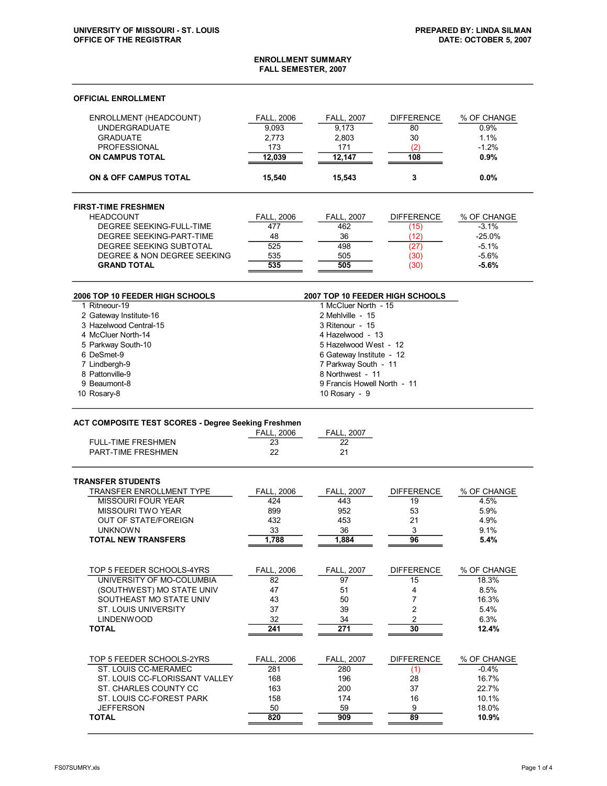| <b>ENROLLMENT SUMMARY</b><br>FALL SEMESTER, 2007    |                                                 |                                                         |                   |                |  |
|-----------------------------------------------------|-------------------------------------------------|---------------------------------------------------------|-------------------|----------------|--|
| <b>OFFICIAL ENROLLMENT</b>                          |                                                 |                                                         |                   |                |  |
| ENROLLMENT (HEADCOUNT)                              | <b>FALL, 2006</b>                               | <b>FALL, 2007</b>                                       | <b>DIFFERENCE</b> | % OF CHANGE    |  |
| <b>UNDERGRADUATE</b>                                | 9,093                                           | 9,173                                                   | 80                | 0.9%           |  |
| <b>GRADUATE</b>                                     | 2,773                                           | 2,803                                                   | 30                | 1.1%           |  |
| <b>PROFESSIONAL</b>                                 | 173                                             | 171                                                     | (2)               | $-1.2%$        |  |
| <b>ON CAMPUS TOTAL</b>                              | 12,039                                          | 12,147                                                  | 108               | 0.9%           |  |
| ON & OFF CAMPUS TOTAL                               | 15,540                                          | 15,543                                                  | 3                 | 0.0%           |  |
| <b>FIRST-TIME FRESHMEN</b>                          |                                                 |                                                         |                   |                |  |
| <b>HEADCOUNT</b>                                    | <b>FALL, 2006</b>                               | <b>FALL, 2007</b>                                       | <b>DIFFERENCE</b> | % OF CHANGE    |  |
| DEGREE SEEKING-FULL-TIME                            | 477                                             | 462                                                     | (15)              | $-3.1%$        |  |
| DEGREE SEEKING-PART-TIME                            | 48                                              | 36                                                      | (12)              | $-25.0\%$      |  |
| DEGREE SEEKING SUBTOTAL                             | 525                                             | 498                                                     | (27)              | $-5.1%$        |  |
| DEGREE & NON DEGREE SEEKING                         | 535                                             | 505                                                     | (30)              | $-5.6%$        |  |
| <b>GRAND TOTAL</b>                                  | 535                                             | 505                                                     | (30)              | $-5.6%$        |  |
|                                                     |                                                 |                                                         |                   |                |  |
| 2006 TOP 10 FEEDER HIGH SCHOOLS<br>1 Ritneour-19    |                                                 | 2007 TOP 10 FEEDER HIGH SCHOOLS<br>1 McCluer North - 15 |                   |                |  |
| 2 Gateway Institute-16                              |                                                 | 2 Mehlville - 15                                        |                   |                |  |
| 3 Hazelwood Central-15                              |                                                 | 3 Ritenour - 15                                         |                   |                |  |
| 4 McCluer North-14                                  |                                                 | 4 Hazelwood - 13                                        |                   |                |  |
| 5 Parkway South-10                                  |                                                 | 5 Hazelwood West - 12                                   |                   |                |  |
| 6 DeSmet-9                                          |                                                 | 6 Gateway Institute - 12                                |                   |                |  |
| 7 Lindbergh-9                                       |                                                 |                                                         |                   |                |  |
| 8 Pattonville-9                                     | 7 Parkway South - 11                            |                                                         |                   |                |  |
| 9 Beaumont-8                                        | 8 Northwest - 11<br>9 Francis Howell North - 11 |                                                         |                   |                |  |
| 10 Rosary-8                                         |                                                 | 10 Rosary - 9                                           |                   |                |  |
|                                                     |                                                 |                                                         |                   |                |  |
| ACT COMPOSITE TEST SCORES - Degree Seeking Freshmen |                                                 |                                                         |                   |                |  |
|                                                     | <b>FALL, 2006</b>                               | <b>FALL, 2007</b>                                       |                   |                |  |
| <b>FULL-TIME FRESHMEN</b>                           | 23                                              | 22                                                      |                   |                |  |
| <b>PART-TIME FRESHMEN</b>                           | 22                                              | 21                                                      |                   |                |  |
| <b>TRANSFER STUDENTS</b>                            |                                                 |                                                         |                   |                |  |
| <b>TRANSFER ENROLLMENT TYPE</b>                     | <b>FALL, 2006</b>                               | <b>FALL, 2007</b>                                       | <b>DIFFERENCE</b> | % OF CHANGE    |  |
| MISSOURI FOUR YEAR                                  | 424                                             | 443                                                     | 19                | 4.5%           |  |
| <b>MISSOURI TWO YEAR</b>                            | 899                                             | 952                                                     | 53                | 5.9%           |  |
| <b>OUT OF STATE/FOREIGN</b>                         | 432                                             | 453                                                     | 21                | 4.9%           |  |
| <b>UNKNOWN</b>                                      | 33                                              | 36                                                      | 3                 | 9.1%           |  |
| <b>TOTAL NEW TRANSFERS</b>                          | 1,788                                           | 1,884                                                   | 96                | 5.4%           |  |
|                                                     |                                                 |                                                         |                   |                |  |
| TOP 5 FEEDER SCHOOLS-4YRS                           | <b>FALL, 2006</b>                               | <b>FALL. 2007</b>                                       | <b>DIFFERENCE</b> | % OF CHANGE    |  |
| UNIVERSITY OF MO-COLUMBIA                           | 82                                              | 97                                                      | 15                | 18.3%          |  |
| (SOUTHWEST) MO STATE UNIV                           | 47                                              | 51                                                      | 4                 | 8.5%           |  |
| SOUTHEAST MO STATE UNIV                             | 43                                              | 50                                                      | 7                 | 16.3%          |  |
| <b>ST. LOUIS UNIVERSITY</b>                         | 37                                              | 39                                                      | 2                 | 5.4%           |  |
| <b>LINDENWOOD</b>                                   | 32                                              | 34                                                      | 2                 | 6.3%           |  |
| <b>TOTAL</b>                                        | 241                                             | 271                                                     | 30                | 12.4%          |  |
|                                                     |                                                 |                                                         |                   |                |  |
| TOP 5 FEEDER SCHOOLS-2YRS                           | <b>FALL, 2006</b>                               | <b>FALL, 2007</b>                                       | <b>DIFFERENCE</b> | % OF CHANGE    |  |
| ST. LOUIS CC-MERAMEC                                | 281                                             | 280                                                     | (1)               | $-0.4%$        |  |
| ST. LOUIS CC-FLORISSANT VALLEY                      | 168                                             | 196                                                     | 28                | 16.7%          |  |
| ST. CHARLES COUNTY CC                               | 163                                             | 200                                                     | 37                | 22.7%          |  |
| ST. LOUIS CC-FOREST PARK                            | 158                                             | 174                                                     | 16                | 10.1%          |  |
| <b>JEFFERSON</b><br><b>TOTAL</b>                    | 50<br>820                                       | 59<br>909                                               | 9<br>89           | 18.0%<br>10.9% |  |
|                                                     |                                                 |                                                         |                   |                |  |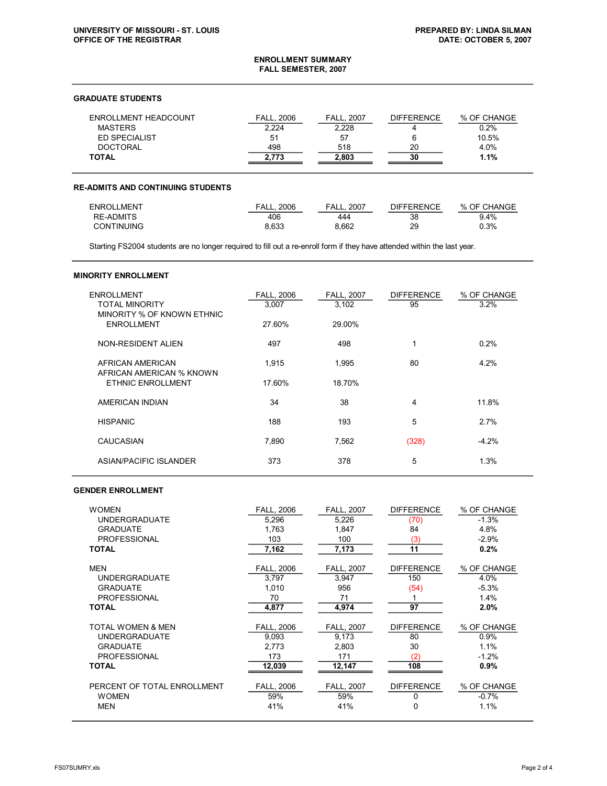#### **ENROLLMENT SUMMARY FALL SEMESTER, 2007**

# **GRADUATE STUDENTS**

| ENROLLMENT HEADCOUNT | <b>FALL. 2006</b> | <b>FALL, 2007</b> | <b>DIFFERENCE</b> | % OF CHANGE |
|----------------------|-------------------|-------------------|-------------------|-------------|
| MASTERS              | 2.224             | 2.228             |                   | 0.2%        |
| <b>ED SPECIALIST</b> | 51                | 57                |                   | 10.5%       |
| <b>DOCTORAL</b>      | 498               | 518               | 20                | 4.0%        |
| <b>TOTAL</b>         | 2.773             | 2.803             | 30                | 1.1%        |

### **READMITS AND CONTINUING STUDENTS**

| <b>ENROLLMENT</b> | <b>FALL. 2006</b> | 2007<br>FALL | <b>DIFFERENCE</b> | % OF CHANGE |
|-------------------|-------------------|--------------|-------------------|-------------|
| RE-ADMITS         | 406               | 444          | 38                | $9.4\%$     |
| <b>CONTINUING</b> | 8.633             | 8.662        | 29                | 0.3%        |

Starting FS2004 students are no longer required to fill out a re-enroll form if they have attended within the last year.

#### **MINORITY ENROLLMENT**

| <b>ENROLLMENT</b><br><b>TOTAL MINORITY</b><br>MINORITY % OF KNOWN ETHNIC | <b>FALL, 2006</b><br>3,007 | <b>FALL, 2007</b><br>3,102 | <b>DIFFERENCE</b><br>95 | % OF CHANGE<br>3.2% |
|--------------------------------------------------------------------------|----------------------------|----------------------------|-------------------------|---------------------|
| <b>ENROLLMENT</b>                                                        | 27.60%                     | 29.00%                     |                         |                     |
| NON-RESIDENT ALIEN                                                       | 497                        | 498                        | 1                       | 0.2%                |
| AFRICAN AMERICAN<br>AFRICAN AMERICAN % KNOWN                             | 1,915                      | 1,995                      | 80                      | 4.2%                |
| <b>ETHNIC ENROLLMENT</b>                                                 | 17.60%                     | 18.70%                     |                         |                     |
| AMERICAN INDIAN                                                          | 34                         | 38                         | 4                       | 11.8%               |
| <b>HISPANIC</b>                                                          | 188                        | 193                        | 5                       | 2.7%                |
| CAUCASIAN                                                                | 7.890                      | 7.562                      | (328)                   | $-4.2%$             |
| ASIAN/PACIFIC ISLANDER                                                   | 373                        | 378                        | 5                       | 1.3%                |

### **GENDER ENROLLMENT**

| <b>WOMEN</b>                                                                                 | <b>FALL, 2006</b>                           | <b>FALL, 2007</b>                                | <b>DIFFERENCE</b>                      | % OF CHANGE                                    |
|----------------------------------------------------------------------------------------------|---------------------------------------------|--------------------------------------------------|----------------------------------------|------------------------------------------------|
| <b>UNDERGRADUATE</b>                                                                         | 5,296                                       | 5,226                                            | (70)                                   | $-1.3%$                                        |
| <b>GRADUATE</b>                                                                              | 1.763                                       | 1,847                                            | 84                                     | 4.8%                                           |
| <b>PROFESSIONAL</b>                                                                          | 103                                         | 100                                              | (3)                                    | $-2.9%$                                        |
| <b>TOTAL</b>                                                                                 | 7,162                                       | 7,173                                            | 11                                     | 0.2%                                           |
| <b>MEN</b><br><b>UNDERGRADUATE</b><br><b>GRADUATE</b><br><b>PROFESSIONAL</b><br><b>TOTAL</b> | FALL, 2006<br>3,797<br>1.010<br>70<br>4,877 | <b>FALL, 2007</b><br>3,947<br>956<br>71<br>4,974 | <b>DIFFERENCE</b><br>150<br>(54)<br>97 | % OF CHANGE<br>4.0%<br>$-5.3%$<br>1.4%<br>2.0% |
| <b>TOTAL WOMEN &amp; MEN</b>                                                                 | <b>FALL, 2006</b>                           | <b>FALL, 2007</b>                                | <b>DIFFERENCE</b>                      | % OF CHANGE                                    |
| <b>UNDERGRADUATE</b>                                                                         | 9.093                                       | 9.173                                            | 80                                     | 0.9%                                           |
| <b>GRADUATE</b>                                                                              | 2.773                                       | 2.803                                            | 30                                     | 1.1%                                           |
| <b>PROFESSIONAL</b>                                                                          | 173                                         | 171                                              | (2)                                    | $-1.2%$                                        |
| <b>TOTAL</b>                                                                                 | 12,039                                      | 12,147                                           | 108                                    | 0.9%                                           |
| PERCENT OF TOTAL ENROLLMENT                                                                  | <b>FALL, 2006</b>                           | <b>FALL, 2007</b>                                | <b>DIFFERENCE</b>                      | % OF CHANGE                                    |
| <b>WOMEN</b>                                                                                 | 59%                                         | 59%                                              | 0                                      | $-0.7%$                                        |
| <b>MEN</b>                                                                                   | 41%                                         | 41%                                              | 0                                      | 1.1%                                           |